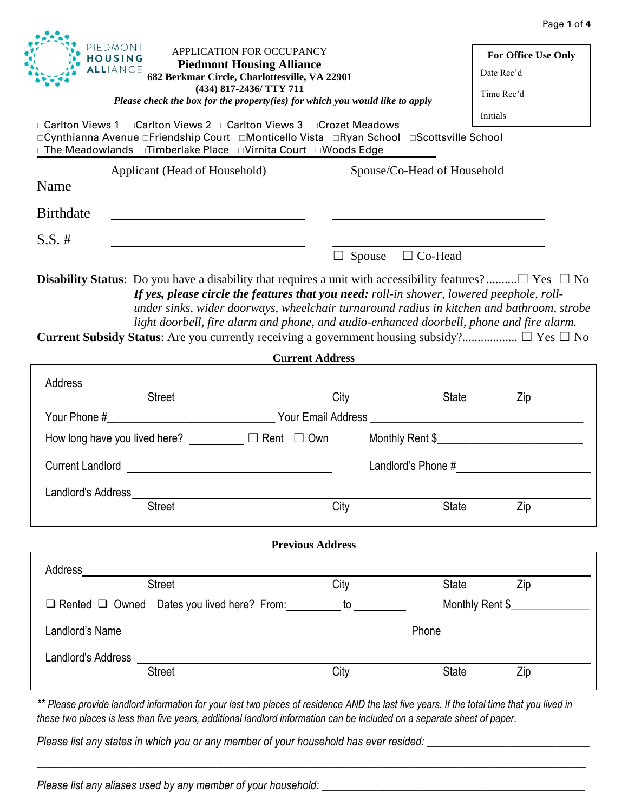|                                                                                                                                                                                                                                |                         |                             | Page 1 of 4                                     |
|--------------------------------------------------------------------------------------------------------------------------------------------------------------------------------------------------------------------------------|-------------------------|-----------------------------|-------------------------------------------------|
| PIEDMONT<br>APPLICATION FOR OCCUPANCY<br><b>HOUSING</b><br><b>Piedmont Housing Alliance</b><br>ALLIANCE<br>682 Berkmar Circle, Charlottesville, VA 22901<br>(434) 817-2436/ TTY 711                                            |                         |                             | For Office Use Only<br>Date Rec'd<br>Time Rec'd |
| Please check the box for the property(ies) for which you would like to apply                                                                                                                                                   |                         |                             |                                                 |
| □Carlton Views 1 □Carlton Views 2 □Carlton Views 3 □Crozet Meadows<br>□Cynthianna Avenue □Friendship Court □Monticello Vista □Ryan School □Scottsville School<br>□The Meadowlands □Timberlake Place □Virnita Court □Woods Edge |                         |                             | Initials                                        |
| Applicant (Head of Household)<br>Name                                                                                                                                                                                          |                         | Spouse/Co-Head of Household |                                                 |
| <b>Birthdate</b><br><u> 1989 - Johann Barbara, martin amerikan basar dan berasal dalam basa dalam basar dalam basar dalam basa dalam</u>                                                                                       |                         |                             |                                                 |
| $S.S. \#$                                                                                                                                                                                                                      |                         |                             |                                                 |
|                                                                                                                                                                                                                                | Spouse                  | $\Box$ Co-Head              |                                                 |
| under sinks, wider doorways, wheelchair turnaround radius in kitchen and bathroom, strobe                                                                                                                                      |                         |                             |                                                 |
| light doorbell, fire alarm and phone, and audio-enhanced doorbell, phone and fire alarm.                                                                                                                                       | <b>Current Address</b>  |                             |                                                 |
|                                                                                                                                                                                                                                |                         |                             |                                                 |
|                                                                                                                                                                                                                                | City                    | <b>State</b>                | Zip                                             |
|                                                                                                                                                                                                                                |                         |                             |                                                 |
| How long have you lived here? __________ □ Rent □ Own                                                                                                                                                                          |                         |                             |                                                 |
| Current Landlord <b>Exercise 2008</b>                                                                                                                                                                                          |                         |                             |                                                 |
| Landlord's Address                                                                                                                                                                                                             |                         |                             |                                                 |
| <b>Street</b>                                                                                                                                                                                                                  | City                    | <b>State</b>                | Zip                                             |
|                                                                                                                                                                                                                                | <b>Previous Address</b> |                             |                                                 |
| Address                                                                                                                                                                                                                        |                         |                             |                                                 |
| <b>Street</b>                                                                                                                                                                                                                  | City                    | State                       | Zip                                             |
| □ Rented □ Owned Dates you lived here? From: _________ to _______                                                                                                                                                              |                         |                             | Monthly Rent \$                                 |
|                                                                                                                                                                                                                                |                         |                             |                                                 |
| <b>Current Subsidy Status:</b> Are you currently receiving a government housing subsidy? $\Box$ Yes $\Box$ No<br>Landlord's Address                                                                                            |                         |                             | Phone <u>experience</u>                         |

*Please list any states in which you or any member of your household has ever resided: \_\_\_\_\_\_\_\_\_\_\_\_\_\_\_\_\_\_\_\_\_\_\_\_\_\_\_\_\_*

*Please list any aliases used by any member of your household: \_\_\_\_\_\_\_\_\_\_\_\_\_\_\_\_\_\_\_\_\_\_\_\_\_\_\_\_\_\_\_\_\_\_\_\_\_\_\_\_\_\_\_\_\_\_\_*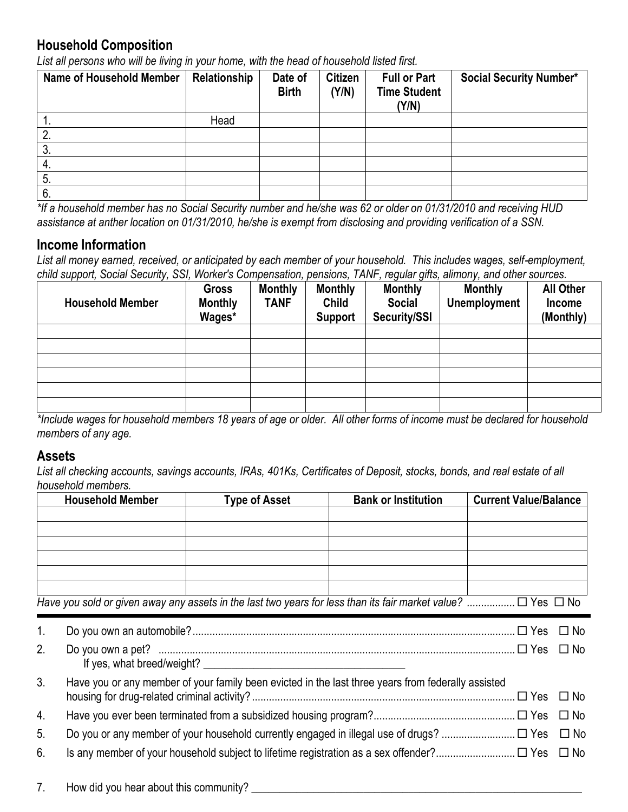## **Household Composition**

*List all persons who will be living in your home, with the head of household listed first.*

| Name of Household Member | Relationship | Date of<br><b>Birth</b> | <b>Citizen</b><br>(Y/N) | <b>Full or Part</b><br><b>Time Student</b><br>(Y/N) | <b>Social Security Number*</b> |
|--------------------------|--------------|-------------------------|-------------------------|-----------------------------------------------------|--------------------------------|
| . .                      | Head         |                         |                         |                                                     |                                |
|                          |              |                         |                         |                                                     |                                |
| J.                       |              |                         |                         |                                                     |                                |
| 4.                       |              |                         |                         |                                                     |                                |
|                          |              |                         |                         |                                                     |                                |
| 6.                       |              |                         |                         |                                                     |                                |

*\*If a household member has no Social Security number and he/she was 62 or older on 01/31/2010 and receiving HUD assistance at anther location on 01/31/2010, he/she is exempt from disclosing and providing verification of a SSN.*

### **Income Information**

*List all money earned, received, or anticipated by each member of your household. This includes wages, self-employment, child support, Social Security, SSI, Worker's Compensation, pensions, TANF, regular gifts, alimony, and other sources.*

| <b>Household Member</b> | <b>Gross</b><br><b>Monthly</b><br>Wages* | <b>Monthly</b><br><b>TANF</b> | <b>Monthly</b><br><b>Child</b><br><b>Support</b> | <b>Monthly</b><br><b>Social</b><br>Security/SSI | <b>Monthly</b><br><b>Unemployment</b> | <b>All Other</b><br>Income<br>(Monthly) |
|-------------------------|------------------------------------------|-------------------------------|--------------------------------------------------|-------------------------------------------------|---------------------------------------|-----------------------------------------|
|                         |                                          |                               |                                                  |                                                 |                                       |                                         |
|                         |                                          |                               |                                                  |                                                 |                                       |                                         |
|                         |                                          |                               |                                                  |                                                 |                                       |                                         |
|                         |                                          |                               |                                                  |                                                 |                                       |                                         |
|                         |                                          |                               |                                                  |                                                 |                                       |                                         |
|                         |                                          |                               |                                                  |                                                 |                                       |                                         |

*\*Include wages for household members 18 years of age or older. All other forms of income must be declared for household members of any age.*

#### **Assets**

*List all checking accounts, savings accounts, IRAs, 401Ks, Certificates of Deposit, stocks, bonds, and real estate of all household members.*

|                | <b>Household Member</b> | <b>Type of Asset</b> | <b>Bank or Institution</b>                                                                                             | <b>Current Value/Balance</b> |              |
|----------------|-------------------------|----------------------|------------------------------------------------------------------------------------------------------------------------|------------------------------|--------------|
|                |                         |                      |                                                                                                                        |                              |              |
|                |                         |                      |                                                                                                                        |                              |              |
|                |                         |                      |                                                                                                                        |                              |              |
|                |                         |                      |                                                                                                                        |                              |              |
|                |                         |                      |                                                                                                                        |                              |              |
|                |                         |                      | Have you sold or given away any assets in the last two years for less than its fair market value? $\Box$ Yes $\Box$ No |                              |              |
| $\mathbf{1}$ . |                         |                      |                                                                                                                        |                              | $\Box$ No    |
| 2.             | $\Box$ No               |                      |                                                                                                                        |                              |              |
| 3.             |                         |                      | Have you or any member of your family been evicted in the last three years from federally assisted                     |                              | $\square$ No |
| 4.             | $\square$ No            |                      |                                                                                                                        |                              |              |
| 5.             |                         |                      |                                                                                                                        |                              |              |
| 6.             |                         |                      |                                                                                                                        |                              |              |
|                |                         |                      |                                                                                                                        |                              |              |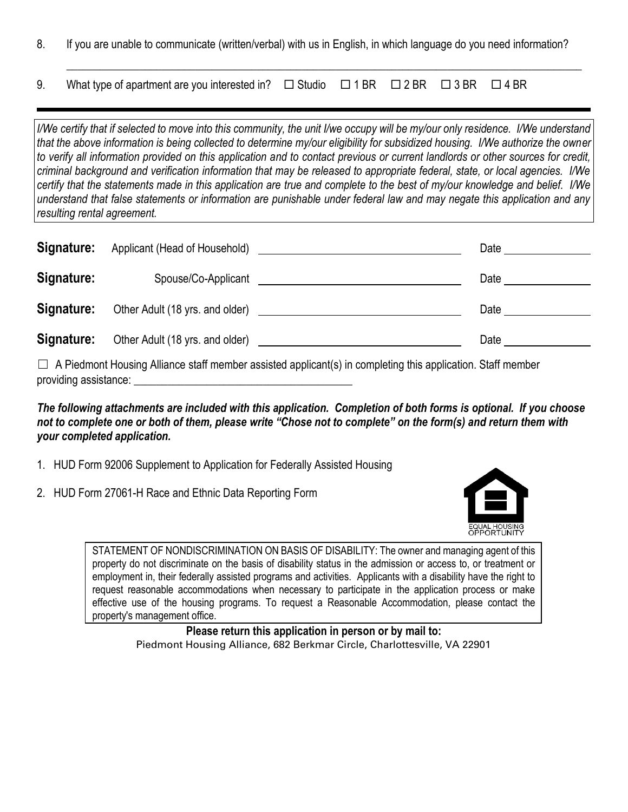8. If you are unable to communicate (written/verbal) with us in English, in which language do you need information?

 $\_$  , and the set of the set of the set of the set of the set of the set of the set of the set of the set of the set of the set of the set of the set of the set of the set of the set of the set of the set of the set of th

9. What type of apartment are you interested in?  $\Box$  Studio  $\Box$  1 BR  $\Box$  2 BR  $\Box$  3 BR  $\Box$  4 BR

*I/We certify that if selected to move into this community, the unit I/we occupy will be my/our only residence. I/We understand that the above information is being collected to determine my/our eligibility for subsidized housing. I/We authorize the owner to verify all information provided on this application and to contact previous or current landlords or other sources for credit, criminal background and verification information that may be released to appropriate federal, state, or local agencies. I/We certify that the statements made in this application are true and complete to the best of my/our knowledge and belief. I/We understand that false statements or information are punishable under federal law and may negate this application and any resulting rental agreement.* 

| Signature: | Applicant (Head of Household)   | Date |
|------------|---------------------------------|------|
| Signature: | Spouse/Co-Applicant             | Date |
| Signature: | Other Adult (18 yrs. and older) | Date |
| Signature: | Other Adult (18 yrs. and older) | Date |

 $\Box$  A Piedmont Housing Alliance staff member assisted applicant(s) in completing this application. Staff member providing assistance:

*The following attachments are included with this application. Completion of both forms is optional. If you choose not to complete one or both of them, please write "Chose not to complete" on the form(s) and return them with your completed application.*

- 1. HUD Form 92006 Supplement to Application for Federally Assisted Housing
- 2. HUD Form 27061-H Race and Ethnic Data Reporting Form



STATEMENT OF NONDISCRIMINATION ON BASIS OF DISABILITY: The owner and managing agent of this property do not discriminate on the basis of disability status in the admission or access to, or treatment or employment in, their federally assisted programs and activities. Applicants with a disability have the right to request reasonable accommodations when necessary to participate in the application process or make effective use of the housing programs. To request a Reasonable Accommodation, please contact the property's management office.

> **Please return this application in person or by mail to:** Piedmont Housing Alliance, 682 Berkmar Circle, Charlottesville, VA 22901